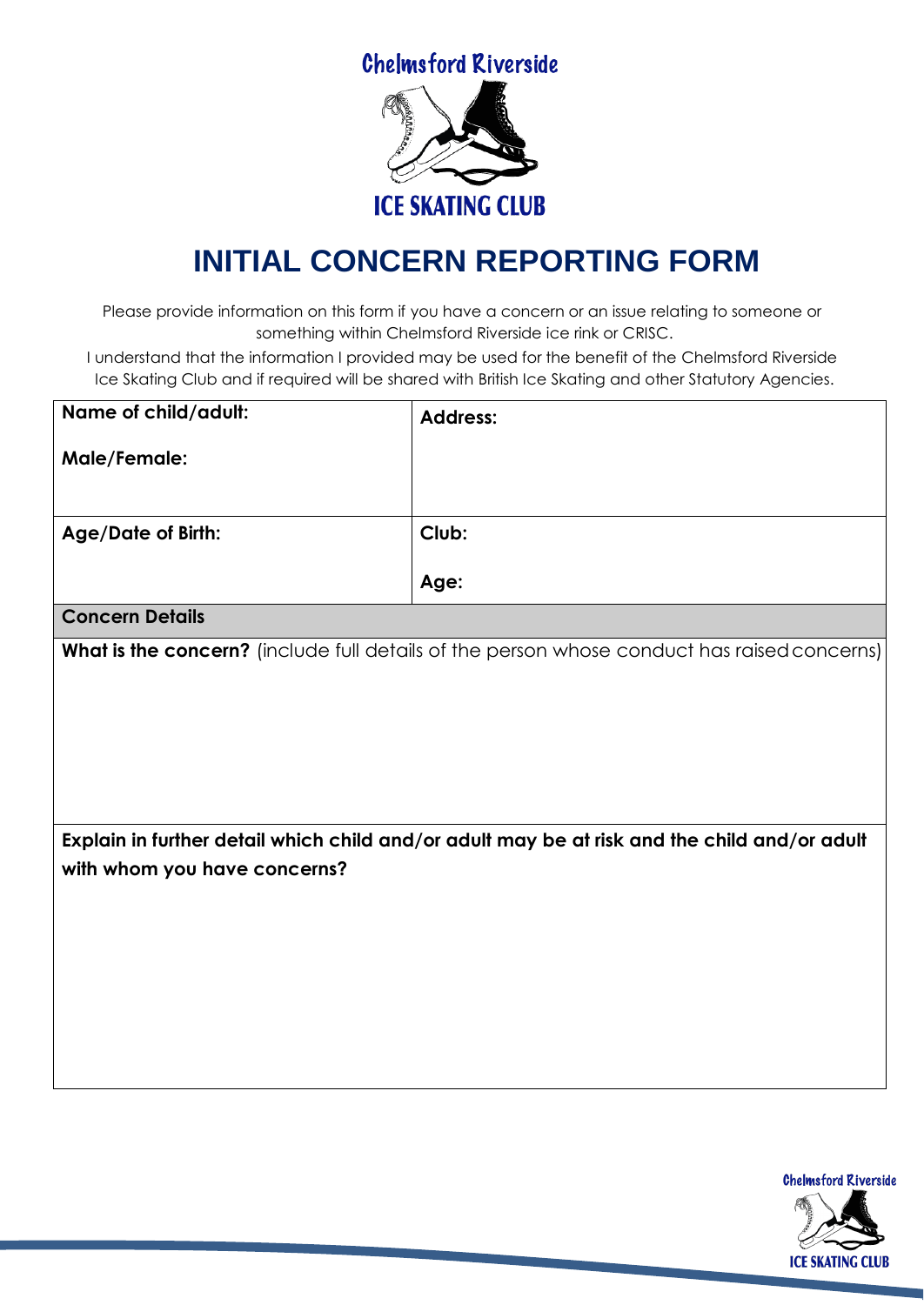**Chelmsford Riverside** 



## **INITIAL CONCERN REPORTING FORM**

Please provide information on this form if you have a concern or an issue relating to someone or something within Chelmsford Riverside ice rink or CRISC.

I understand that the information I provided may be used for the benefit of the Chelmsford Riverside Ice Skating Club and if required will be shared with British Ice Skating and other Statutory Agencies.

| Name of child/adult:                                                                                                         | <b>Address:</b> |  |
|------------------------------------------------------------------------------------------------------------------------------|-----------------|--|
| Male/Female:                                                                                                                 |                 |  |
|                                                                                                                              |                 |  |
| <b>Age/Date of Birth:</b>                                                                                                    | Club:           |  |
|                                                                                                                              | Age:            |  |
| <b>Concern Details</b>                                                                                                       |                 |  |
| What is the concern? (include full details of the person whose conduct has raised concerns)                                  |                 |  |
|                                                                                                                              |                 |  |
|                                                                                                                              |                 |  |
|                                                                                                                              |                 |  |
|                                                                                                                              |                 |  |
|                                                                                                                              |                 |  |
| Explain in further detail which child and/or adult may be at risk and the child and/or adult<br>with whom you have concerns? |                 |  |
|                                                                                                                              |                 |  |
|                                                                                                                              |                 |  |
|                                                                                                                              |                 |  |
|                                                                                                                              |                 |  |
|                                                                                                                              |                 |  |
|                                                                                                                              |                 |  |

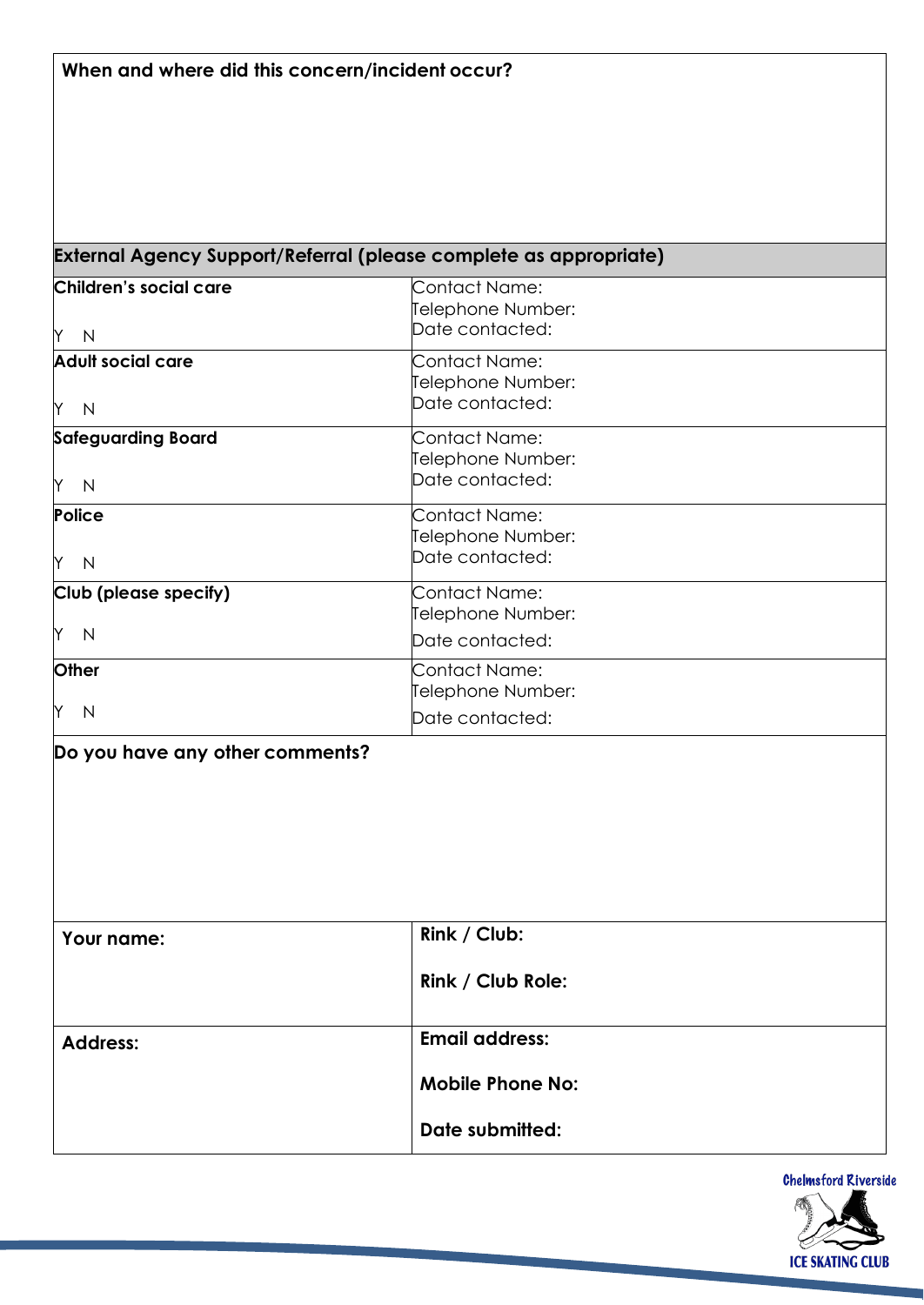## **External Agency Support/Referral (please complete as appropriate)**

| Children's social care          | Contact Name:                        |
|---------------------------------|--------------------------------------|
| Y N                             | Telephone Number:<br>Date contacted: |
| <b>Adult social care</b>        | Contact Name:                        |
|                                 | Telephone Number:                    |
| Y N                             | Date contacted:                      |
| <b>Safeguarding Board</b>       | Contact Name:                        |
|                                 | Telephone Number:                    |
| Y N                             | Date contacted:                      |
| Police                          | <b>Contact Name:</b>                 |
|                                 | Telephone Number:                    |
| Y N                             | Date contacted:                      |
| Club (please specify)           | Contact Name:                        |
|                                 | Telephone Number:                    |
| Y N                             | Date contacted:                      |
| Other                           | <b>Contact Name:</b>                 |
|                                 | Telephone Number:                    |
| Y N                             | Date contacted:                      |
| Do you have any other comments? |                                      |
|                                 |                                      |
|                                 |                                      |
|                                 |                                      |
|                                 |                                      |
|                                 |                                      |
|                                 |                                      |
| Your name:                      | Rink / Club:                         |
|                                 |                                      |

| <b>rour name:</b> | NIIIN / VIV             |
|-------------------|-------------------------|
|                   | Rink / Club Role:       |
| <b>Address:</b>   | <b>Email address:</b>   |
|                   | <b>Mobile Phone No:</b> |
|                   | Date submitted:         |

**Chelmsford Riverside ICE SKATING CLUB**